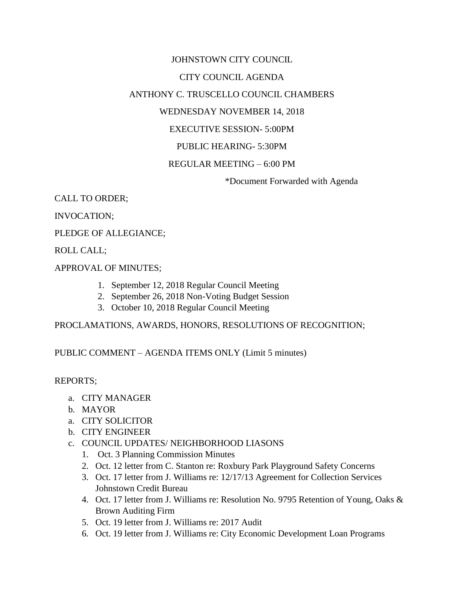## JOHNSTOWN CITY COUNCIL CITY COUNCIL AGENDA ANTHONY C. TRUSCELLO COUNCIL CHAMBERS WEDNESDAY NOVEMBER 14, 2018 EXECUTIVE SESSION- 5:00PM PUBLIC HEARING- 5:30PM REGULAR MEETING – 6:00 PM

\*Document Forwarded with Agenda

CALL TO ORDER;

INVOCATION;

PLEDGE OF ALLEGIANCE;

ROLL CALL;

APPROVAL OF MINUTES;

- 1. September 12, 2018 Regular Council Meeting
- 2. September 26, 2018 Non-Voting Budget Session
- 3. October 10, 2018 Regular Council Meeting

PROCLAMATIONS, AWARDS, HONORS, RESOLUTIONS OF RECOGNITION;

PUBLIC COMMENT – AGENDA ITEMS ONLY (Limit 5 minutes)

REPORTS;

- a. CITY MANAGER
- b. MAYOR
- a. CITY SOLICITOR
- b. CITY ENGINEER
- c. COUNCIL UPDATES/ NEIGHBORHOOD LIASONS
	- 1. Oct. 3 Planning Commission Minutes
	- 2. Oct. 12 letter from C. Stanton re: Roxbury Park Playground Safety Concerns
	- 3. Oct. 17 letter from J. Williams re: 12/17/13 Agreement for Collection Services Johnstown Credit Bureau
	- 4. Oct. 17 letter from J. Williams re: Resolution No. 9795 Retention of Young, Oaks & Brown Auditing Firm
	- 5. Oct. 19 letter from J. Williams re: 2017 Audit
	- 6. Oct. 19 letter from J. Williams re: City Economic Development Loan Programs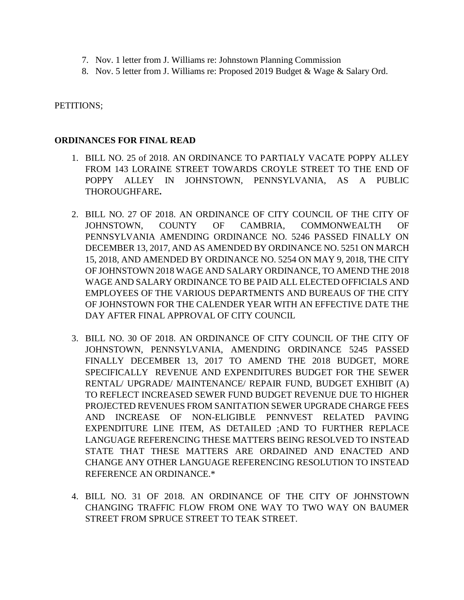- 7. Nov. 1 letter from J. Williams re: Johnstown Planning Commission
- 8. Nov. 5 letter from J. Williams re: Proposed 2019 Budget & Wage & Salary Ord.

PETITIONS;

## **ORDINANCES FOR FINAL READ**

- 1. BILL NO. 25 of 2018. AN ORDINANCE TO PARTIALY VACATE POPPY ALLEY FROM 143 LORAINE STREET TOWARDS CROYLE STREET TO THE END OF POPPY ALLEY IN JOHNSTOWN, PENNSYLVANIA, AS A PUBLIC THOROUGHFARE**.**
- 2. BILL NO. 27 OF 2018. AN ORDINANCE OF CITY COUNCIL OF THE CITY OF JOHNSTOWN, COUNTY OF CAMBRIA, COMMONWEALTH OF PENNSYLVANIA AMENDING ORDINANCE NO. 5246 PASSED FINALLY ON DECEMBER 13, 2017, AND AS AMENDED BY ORDINANCE NO. 5251 ON MARCH 15, 2018, AND AMENDED BY ORDINANCE NO. 5254 ON MAY 9, 2018, THE CITY OF JOHNSTOWN 2018 WAGE AND SALARY ORDINANCE, TO AMEND THE 2018 WAGE AND SALARY ORDINANCE TO BE PAID ALL ELECTED OFFICIALS AND EMPLOYEES OF THE VARIOUS DEPARTMENTS AND BUREAUS OF THE CITY OF JOHNSTOWN FOR THE CALENDER YEAR WITH AN EFFECTIVE DATE THE DAY AFTER FINAL APPROVAL OF CITY COUNCIL
- 3. BILL NO. 30 OF 2018. AN ORDINANCE OF CITY COUNCIL OF THE CITY OF JOHNSTOWN, PENNSYLVANIA, AMENDING ORDINANCE 5245 PASSED FINALLY DECEMBER 13, 2017 TO AMEND THE 2018 BUDGET, MORE SPECIFICALLY REVENUE AND EXPENDITURES BUDGET FOR THE SEWER RENTAL/ UPGRADE/ MAINTENANCE/ REPAIR FUND, BUDGET EXHIBIT (A) TO REFLECT INCREASED SEWER FUND BUDGET REVENUE DUE TO HIGHER PROJECTED REVENUES FROM SANITATION SEWER UPGRADE CHARGE FEES AND INCREASE OF NON-ELIGIBLE PENNVEST RELATED PAVING EXPENDITURE LINE ITEM, AS DETAILED ;AND TO FURTHER REPLACE LANGUAGE REFERENCING THESE MATTERS BEING RESOLVED TO INSTEAD STATE THAT THESE MATTERS ARE ORDAINED AND ENACTED AND CHANGE ANY OTHER LANGUAGE REFERENCING RESOLUTION TO INSTEAD REFERENCE AN ORDINANCE.\*
- 4. BILL NO. 31 OF 2018. AN ORDINANCE OF THE CITY OF JOHNSTOWN CHANGING TRAFFIC FLOW FROM ONE WAY TO TWO WAY ON BAUMER STREET FROM SPRUCE STREET TO TEAK STREET.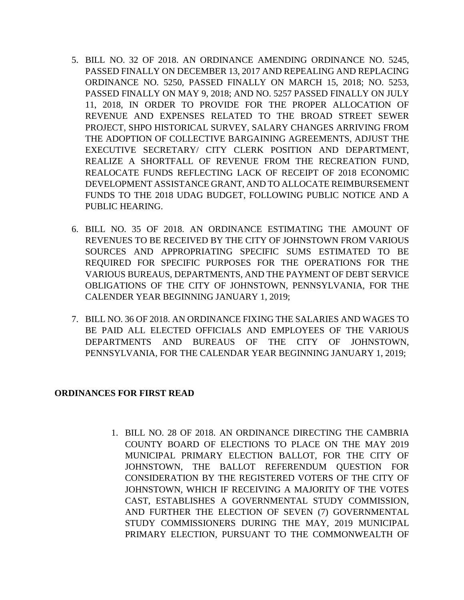- 5. BILL NO. 32 OF 2018. AN ORDINANCE AMENDING ORDINANCE NO. 5245, PASSED FINALLY ON DECEMBER 13, 2017 AND REPEALING AND REPLACING ORDINANCE NO. 5250, PASSED FINALLY ON MARCH 15, 2018; NO. 5253, PASSED FINALLY ON MAY 9, 2018; AND NO. 5257 PASSED FINALLY ON JULY 11, 2018, IN ORDER TO PROVIDE FOR THE PROPER ALLOCATION OF REVENUE AND EXPENSES RELATED TO THE BROAD STREET SEWER PROJECT, SHPO HISTORICAL SURVEY, SALARY CHANGES ARRIVING FROM THE ADOPTION OF COLLECTIVE BARGAINING AGREEMENTS, ADJUST THE EXECUTIVE SECRETARY/ CITY CLERK POSITION AND DEPARTMENT, REALIZE A SHORTFALL OF REVENUE FROM THE RECREATION FUND, REALOCATE FUNDS REFLECTING LACK OF RECEIPT OF 2018 ECONOMIC DEVELOPMENT ASSISTANCE GRANT, AND TO ALLOCATE REIMBURSEMENT FUNDS TO THE 2018 UDAG BUDGET, FOLLOWING PUBLIC NOTICE AND A PUBLIC HEARING.
- 6. BILL NO. 35 OF 2018. AN ORDINANCE ESTIMATING THE AMOUNT OF REVENUES TO BE RECEIVED BY THE CITY OF JOHNSTOWN FROM VARIOUS SOURCES AND APPROPRIATING SPECIFIC SUMS ESTIMATED TO BE REQUIRED FOR SPECIFIC PURPOSES FOR THE OPERATIONS FOR THE VARIOUS BUREAUS, DEPARTMENTS, AND THE PAYMENT OF DEBT SERVICE OBLIGATIONS OF THE CITY OF JOHNSTOWN, PENNSYLVANIA, FOR THE CALENDER YEAR BEGINNING JANUARY 1, 2019;
- 7. BILL NO. 36 OF 2018. AN ORDINANCE FIXING THE SALARIES AND WAGES TO BE PAID ALL ELECTED OFFICIALS AND EMPLOYEES OF THE VARIOUS DEPARTMENTS AND BUREAUS OF THE CITY OF JOHNSTOWN, PENNSYLVANIA, FOR THE CALENDAR YEAR BEGINNING JANUARY 1, 2019;

## **ORDINANCES FOR FIRST READ**

1. BILL NO. 28 OF 2018. AN ORDINANCE DIRECTING THE CAMBRIA COUNTY BOARD OF ELECTIONS TO PLACE ON THE MAY 2019 MUNICIPAL PRIMARY ELECTION BALLOT, FOR THE CITY OF JOHNSTOWN, THE BALLOT REFERENDUM QUESTION FOR CONSIDERATION BY THE REGISTERED VOTERS OF THE CITY OF JOHNSTOWN, WHICH IF RECEIVING A MAJORITY OF THE VOTES CAST, ESTABLISHES A GOVERNMENTAL STUDY COMMISSION, AND FURTHER THE ELECTION OF SEVEN (7) GOVERNMENTAL STUDY COMMISSIONERS DURING THE MAY, 2019 MUNICIPAL PRIMARY ELECTION, PURSUANT TO THE COMMONWEALTH OF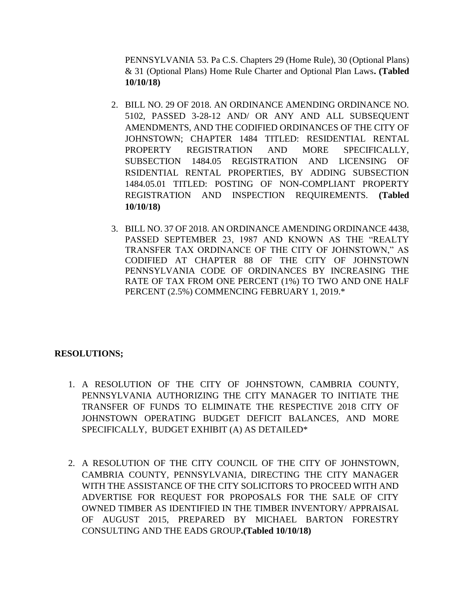PENNSYLVANIA 53. Pa C.S. Chapters 29 (Home Rule), 30 (Optional Plans) & 31 (Optional Plans) Home Rule Charter and Optional Plan Laws**. (Tabled 10/10/18)**

- 2. BILL NO. 29 OF 2018. AN ORDINANCE AMENDING ORDINANCE NO. 5102, PASSED 3-28-12 AND/ OR ANY AND ALL SUBSEQUENT AMENDMENTS, AND THE CODIFIED ORDINANCES OF THE CITY OF JOHNSTOWN; CHAPTER 1484 TITLED: RESIDENTIAL RENTAL PROPERTY REGISTRATION AND MORE SPECIFICALLY, SUBSECTION 1484.05 REGISTRATION AND LICENSING OF RSIDENTIAL RENTAL PROPERTIES, BY ADDING SUBSECTION 1484.05.01 TITLED: POSTING OF NON-COMPLIANT PROPERTY REGISTRATION AND INSPECTION REQUIREMENTS. **(Tabled 10/10/18)**
- 3. BILL NO. 37 OF 2018. AN ORDINANCE AMENDING ORDINANCE 4438, PASSED SEPTEMBER 23, 1987 AND KNOWN AS THE "REALTY TRANSFER TAX ORDINANCE OF THE CITY OF JOHNSTOWN," AS CODIFIED AT CHAPTER 88 OF THE CITY OF JOHNSTOWN PENNSYLVANIA CODE OF ORDINANCES BY INCREASING THE RATE OF TAX FROM ONE PERCENT (1%) TO TWO AND ONE HALF PERCENT (2.5%) COMMENCING FEBRUARY 1, 2019.\*

## **RESOLUTIONS;**

- 1. A RESOLUTION OF THE CITY OF JOHNSTOWN, CAMBRIA COUNTY, PENNSYLVANIA AUTHORIZING THE CITY MANAGER TO INITIATE THE TRANSFER OF FUNDS TO ELIMINATE THE RESPECTIVE 2018 CITY OF JOHNSTOWN OPERATING BUDGET DEFICIT BALANCES, AND MORE SPECIFICALLY, BUDGET EXHIBIT (A) AS DETAILED\*
- 2. A RESOLUTION OF THE CITY COUNCIL OF THE CITY OF JOHNSTOWN, CAMBRIA COUNTY, PENNSYLVANIA, DIRECTING THE CITY MANAGER WITH THE ASSISTANCE OF THE CITY SOLICITORS TO PROCEED WITH AND ADVERTISE FOR REQUEST FOR PROPOSALS FOR THE SALE OF CITY OWNED TIMBER AS IDENTIFIED IN THE TIMBER INVENTORY/ APPRAISAL OF AUGUST 2015, PREPARED BY MICHAEL BARTON FORESTRY CONSULTING AND THE EADS GROUP**.(Tabled 10/10/18)**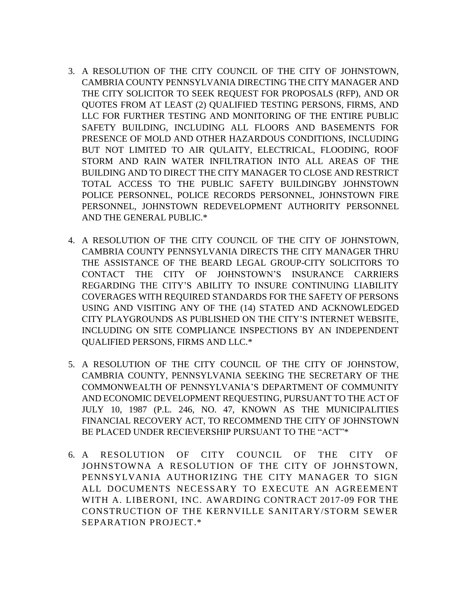- 3. A RESOLUTION OF THE CITY COUNCIL OF THE CITY OF JOHNSTOWN, CAMBRIA COUNTY PENNSYLVANIA DIRECTING THE CITY MANAGER AND THE CITY SOLICITOR TO SEEK REQUEST FOR PROPOSALS (RFP), AND OR QUOTES FROM AT LEAST (2) QUALIFIED TESTING PERSONS, FIRMS, AND LLC FOR FURTHER TESTING AND MONITORING OF THE ENTIRE PUBLIC SAFETY BUILDING, INCLUDING ALL FLOORS AND BASEMENTS FOR PRESENCE OF MOLD AND OTHER HAZARDOUS CONDITIONS, INCLUDING BUT NOT LIMITED TO AIR QULAITY, ELECTRICAL, FLOODING, ROOF STORM AND RAIN WATER INFILTRATION INTO ALL AREAS OF THE BUILDING AND TO DIRECT THE CITY MANAGER TO CLOSE AND RESTRICT TOTAL ACCESS TO THE PUBLIC SAFETY BUILDINGBY JOHNSTOWN POLICE PERSONNEL, POLICE RECORDS PERSONNEL, JOHNSTOWN FIRE PERSONNEL, JOHNSTOWN REDEVELOPMENT AUTHORITY PERSONNEL AND THE GENERAL PUBLIC.\*
- 4. A RESOLUTION OF THE CITY COUNCIL OF THE CITY OF JOHNSTOWN, CAMBRIA COUNTY PENNSYLVANIA DIRECTS THE CITY MANAGER THRU THE ASSISTANCE OF THE BEARD LEGAL GROUP-CITY SOLICITORS TO CONTACT THE CITY OF JOHNSTOWN'S INSURANCE CARRIERS REGARDING THE CITY'S ABILITY TO INSURE CONTINUING LIABILITY COVERAGES WITH REQUIRED STANDARDS FOR THE SAFETY OF PERSONS USING AND VISITING ANY OF THE (14) STATED AND ACKNOWLEDGED CITY PLAYGROUNDS AS PUBLISHED ON THE CITY'S INTERNET WEBSITE, INCLUDING ON SITE COMPLIANCE INSPECTIONS BY AN INDEPENDENT QUALIFIED PERSONS, FIRMS AND LLC.\*
- 5. A RESOLUTION OF THE CITY COUNCIL OF THE CITY OF JOHNSTOW, CAMBRIA COUNTY, PENNSYLVANIA SEEKING THE SECRETARY OF THE COMMONWEALTH OF PENNSYLVANIA'S DEPARTMENT OF COMMUNITY AND ECONOMIC DEVELOPMENT REQUESTING, PURSUANT TO THE ACT OF JULY 10, 1987 (P.L. 246, NO. 47, KNOWN AS THE MUNICIPALITIES FINANCIAL RECOVERY ACT, TO RECOMMEND THE CITY OF JOHNSTOWN BE PLACED UNDER RECIEVERSHIP PURSUANT TO THE "ACT"\*
- 6. A RESOLUTION OF CITY COUNCIL OF THE CITY OF JOHNSTOWNA A RESOLUTION OF THE CITY OF JOHNSTOWN, PENNSYLVANIA AUTHORIZING THE CITY MANAGER TO SIGN ALL DOCUMENTS NECESSARY TO EXECUTE AN AGREEMENT WITH A. LIBERONI, INC. AWARDING CONTRACT 2017-09 FOR THE CONSTRUCTION OF THE KERNVILLE SANITARY/STORM SEWER SEPARATION PROJECT.\*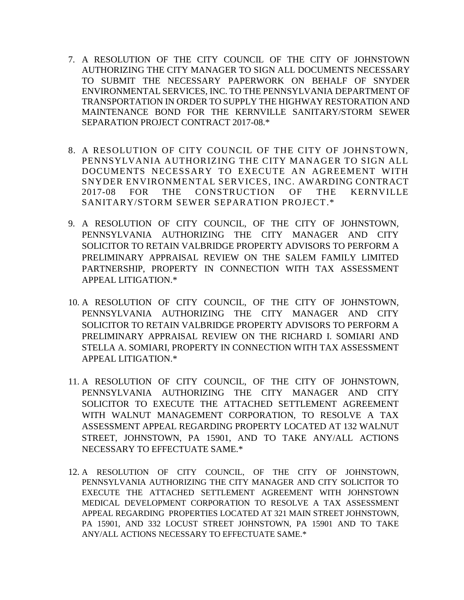- 7. A RESOLUTION OF THE CITY COUNCIL OF THE CITY OF JOHNSTOWN AUTHORIZING THE CITY MANAGER TO SIGN ALL DOCUMENTS NECESSARY TO SUBMIT THE NECESSARY PAPERWORK ON BEHALF OF SNYDER ENVIRONMENTAL SERVICES, INC. TO THE PENNSYLVANIA DEPARTMENT OF TRANSPORTATION IN ORDER TO SUPPLY THE HIGHWAY RESTORATION AND MAINTENANCE BOND FOR THE KERNVILLE SANITARY/STORM SEWER SEPARATION PROJECT CONTRACT 2017-08.\*
- 8. A RESOLUTION OF CITY COUNCIL OF THE CITY OF JOHNSTOWN, PENNSYLVANIA AUTHORIZING THE CITY MANAGER TO SIGN ALL DOCUMENTS NECESSARY TO EXECUTE AN AGREEMENT WITH SNYDER ENVIRONMENTAL SERVICES, INC. AWARDING CONTRACT 2017-08 FOR THE CONSTRUCTION OF THE KERNVILLE SANITARY/STORM SEWER SEPARATION PROJECT.\*
- 9. A RESOLUTION OF CITY COUNCIL, OF THE CITY OF JOHNSTOWN, PENNSYLVANIA AUTHORIZING THE CITY MANAGER AND CITY SOLICITOR TO RETAIN VALBRIDGE PROPERTY ADVISORS TO PERFORM A PRELIMINARY APPRAISAL REVIEW ON THE SALEM FAMILY LIMITED PARTNERSHIP, PROPERTY IN CONNECTION WITH TAX ASSESSMENT APPEAL LITIGATION.\*
- 10. A RESOLUTION OF CITY COUNCIL, OF THE CITY OF JOHNSTOWN, PENNSYLVANIA AUTHORIZING THE CITY MANAGER AND CITY SOLICITOR TO RETAIN VALBRIDGE PROPERTY ADVISORS TO PERFORM A PRELIMINARY APPRAISAL REVIEW ON THE RICHARD I. SOMIARI AND STELLA A. SOMIARI, PROPERTY IN CONNECTION WITH TAX ASSESSMENT APPEAL LITIGATION.\*
- 11. A RESOLUTION OF CITY COUNCIL, OF THE CITY OF JOHNSTOWN, PENNSYLVANIA AUTHORIZING THE CITY MANAGER AND CITY SOLICITOR TO EXECUTE THE ATTACHED SETTLEMENT AGREEMENT WITH WALNUT MANAGEMENT CORPORATION, TO RESOLVE A TAX ASSESSMENT APPEAL REGARDING PROPERTY LOCATED AT 132 WALNUT STREET, JOHNSTOWN, PA 15901, AND TO TAKE ANY/ALL ACTIONS NECESSARY TO EFFECTUATE SAME.\*
- 12. A RESOLUTION OF CITY COUNCIL, OF THE CITY OF JOHNSTOWN, PENNSYLVANIA AUTHORIZING THE CITY MANAGER AND CITY SOLICITOR TO EXECUTE THE ATTACHED SETTLEMENT AGREEMENT WITH JOHNSTOWN MEDICAL DEVELOPMENT CORPORATION TO RESOLVE A TAX ASSESSMENT APPEAL REGARDING PROPERTIES LOCATED AT 321 MAIN STREET JOHNSTOWN, PA 15901, AND 332 LOCUST STREET JOHNSTOWN, PA 15901 AND TO TAKE ANY/ALL ACTIONS NECESSARY TO EFFECTUATE SAME.\*